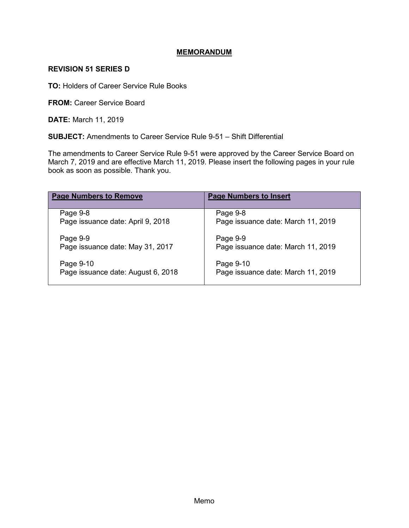## **MEMORANDUM**

## **REVISION 51 SERIES D**

**TO:** Holders of Career Service Rule Books

**FROM: Career Service Board** 

**DATE:** March 11, 2019

**SUBJECT:** Amendments to Career Service Rule 9-51 – Shift Differential

The amendments to Career Service Rule 9-51 were approved by the Career Service Board on March 7, 2019 and are effective March 11, 2019. Please insert the following pages in your rule book as soon as possible. Thank you.

| <b>Page Numbers to Remove</b>      | <b>Page Numbers to Insert</b>      |
|------------------------------------|------------------------------------|
| Page 9-8                           | Page 9-8                           |
| Page issuance date: April 9, 2018  | Page issuance date: March 11, 2019 |
| Page 9-9                           | Page 9-9                           |
| Page issuance date: May 31, 2017   | Page issuance date: March 11, 2019 |
| Page 9-10                          | Page 9-10                          |
| Page issuance date: August 6, 2018 | Page issuance date: March 11, 2019 |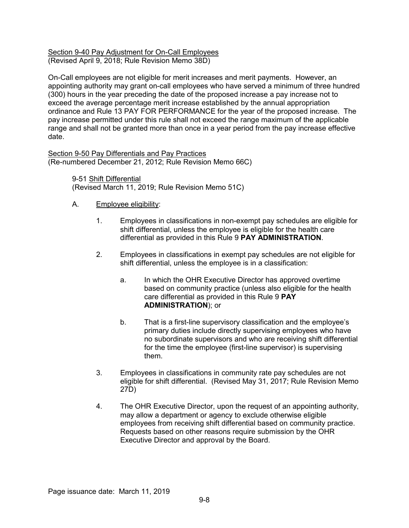#### Section 9-40 Pay Adjustment for On-Call Employees (Revised April 9, 2018; Rule Revision Memo 38D)

On-Call employees are not eligible for merit increases and merit payments. However, an appointing authority may grant on-call employees who have served a minimum of three hundred (300) hours in the year preceding the date of the proposed increase a pay increase not to exceed the average percentage merit increase established by the annual appropriation ordinance and Rule 13 PAY FOR PERFORMANCE for the year of the proposed increase. The pay increase permitted under this rule shall not exceed the range maximum of the applicable range and shall not be granted more than once in a year period from the pay increase effective date.

Section 9-50 Pay Differentials and Pay Practices (Re-numbered December 21, 2012; Rule Revision Memo 66C)

> 9-51 Shift Differential (Revised March 11, 2019; Rule Revision Memo 51C)

# A. Employee eligibility:

- 1. Employees in classifications in non-exempt pay schedules are eligible for shift differential, unless the employee is eligible for the health care differential as provided in this Rule 9 **PAY ADMINISTRATION**.
- 2. Employees in classifications in exempt pay schedules are not eligible for shift differential, unless the employee is in a classification:
	- a. In which the OHR Executive Director has approved overtime based on community practice (unless also eligible for the health care differential as provided in this Rule 9 **PAY ADMINISTRATION**); or
	- b. That is a first-line supervisory classification and the employee's primary duties include directly supervising employees who have no subordinate supervisors and who are receiving shift differential for the time the employee (first-line supervisor) is supervising them.
- 3. Employees in classifications in community rate pay schedules are not eligible for shift differential. (Revised May 31, 2017; Rule Revision Memo 27D)
- 4. The OHR Executive Director, upon the request of an appointing authority, may allow a department or agency to exclude otherwise eligible employees from receiving shift differential based on community practice. Requests based on other reasons require submission by the OHR Executive Director and approval by the Board.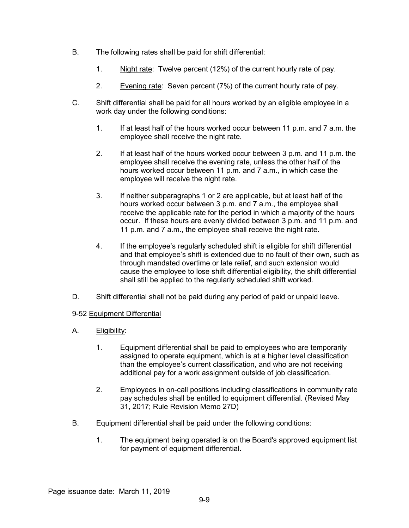- B. The following rates shall be paid for shift differential:
	- 1. Night rate: Twelve percent (12%) of the current hourly rate of pay.
	- 2. Evening rate: Seven percent (7%) of the current hourly rate of pay.
- C. Shift differential shall be paid for all hours worked by an eligible employee in a work day under the following conditions:
	- 1. If at least half of the hours worked occur between 11 p.m. and 7 a.m. the employee shall receive the night rate.
	- 2. If at least half of the hours worked occur between 3 p.m. and 11 p.m. the employee shall receive the evening rate, unless the other half of the hours worked occur between 11 p.m. and 7 a.m., in which case the employee will receive the night rate.
	- 3. If neither subparagraphs 1 or 2 are applicable, but at least half of the hours worked occur between 3 p.m. and 7 a.m., the employee shall receive the applicable rate for the period in which a majority of the hours occur. If these hours are evenly divided between 3 p.m. and 11 p.m. and 11 p.m. and 7 a.m., the employee shall receive the night rate.
	- 4. If the employee's regularly scheduled shift is eligible for shift differential and that employee's shift is extended due to no fault of their own, such as through mandated overtime or late relief, and such extension would cause the employee to lose shift differential eligibility, the shift differential shall still be applied to the regularly scheduled shift worked.
- D. Shift differential shall not be paid during any period of paid or unpaid leave.

## 9-52 Equipment Differential

- A. Eligibility:
	- 1. Equipment differential shall be paid to employees who are temporarily assigned to operate equipment, which is at a higher level classification than the employee's current classification, and who are not receiving additional pay for a work assignment outside of job classification.
	- 2. Employees in on-call positions including classifications in community rate pay schedules shall be entitled to equipment differential. (Revised May 31, 2017; Rule Revision Memo 27D)
- B. Equipment differential shall be paid under the following conditions:
	- 1. The equipment being operated is on the Board's approved equipment list for payment of equipment differential.